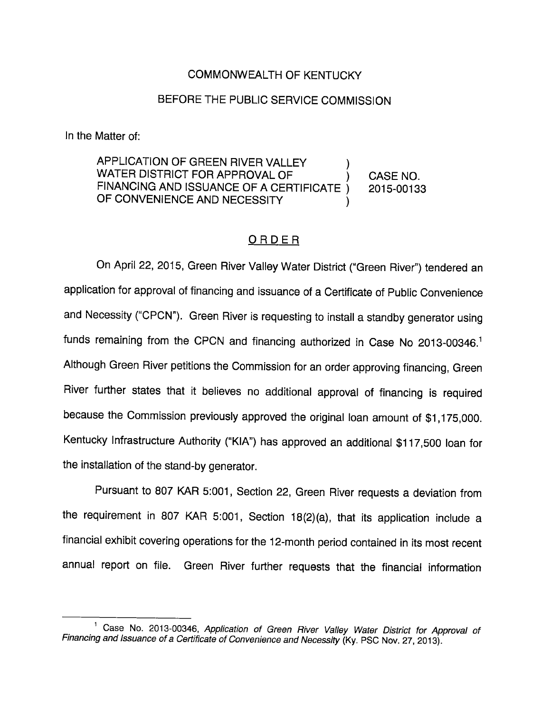## COMMONWEALTH OF KENTUCKY

## BEFORE THE PUBLIC SERVICE COMMISSION

In the Matter of:

APPLICATION OF GREEN RIVER VALLEY WATER DISTRICT FOR APPROVAL OF  $\overrightarrow{)}$  CASE NO. FINANCING AND ISSUANCE OF A CERTIFICATE ) 2015-00133 OF CONVENIENCE AND NECESSITY

## ORDER

On April 22, 2015, Green River Valley Water District ("Green River") tendered an application for approval of financing and issuance of a Certificate of Public Convenience and Necessity ("CPCN"). Green River is requesting to install a standby generator using funds remaining from the CPCN and financing authorized in Case No 2013-00346.<sup>1</sup> Although Green River petitions the Commission for an order approving financing. Green River further states that it believes no additional approval of financing is required because the Commission previously approved the original loan amount of \$1,175,000. Kentucky Infrastructure Authority ("KIA") has approved an additional \$117,500 loan for the installation of the stand-by generator.

Pursuant to 807 KAR 5:001, Section 22, Green River requests a deviation from the requirement in 807 KAR 5:001, Section 18(2)(a), that its application include a financial exhibit covering operations for the 12-month period contained in its most recent annual report on file. Green River further requests that the financial information

<sup>&</sup>lt;sup>1</sup> Case No. 2013-00346, Application of Green River Valley Water District for Approval of Financing and Issuance of a Certificate of Convenience and Necessity (Ky. PSC Nov. 27, 2013).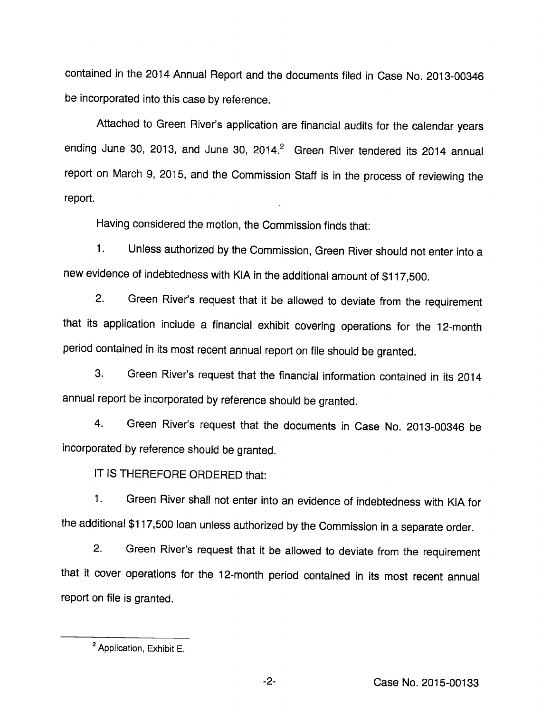contained in the 2014 Annual Report and the documents filed in Case No. 2013-00346 be incorporated into this case by reference.

Attached to Green River's application are financial audits for the calendar years ending June 30, 2013, and June 30, 2014. $^2$  Green River tendered its 2014 annual report on March 9, 2015, and the Commission Staff is in the process of reviewing the report.

Having considered the motion, the Commission finds that:

1. Unless authorized by the Commission, Green River should not enter into a new evidence of indebtedness with KIA in the additional amount of \$117,500.

2. Green River's request that it be allowed to deviate from the requirement that its application include a financial exhibit covering operations for the 12-month period contained in its most recent annual report on file should be granted.

3. Green River's request that the financial information contained in its 2014 annual report be incorporated by reference should be granted.

4. Green River's request that the documents in Case No. 2013-00346 be incorporated by reference should be granted.

IT IS THEREFORE ORDERED that:

1. Green River shall not enter into an evidence of indebtedness with KIA for the additional \$117,500 loan unless authorized by the Commission in a separate order.

2. Green River's request that it be allowed to deviate from the requirement that it cover operations for the 12-month period contained in its most recent annual report on file is granted.

 $<sup>2</sup>$  Application, Exhibit E.</sup>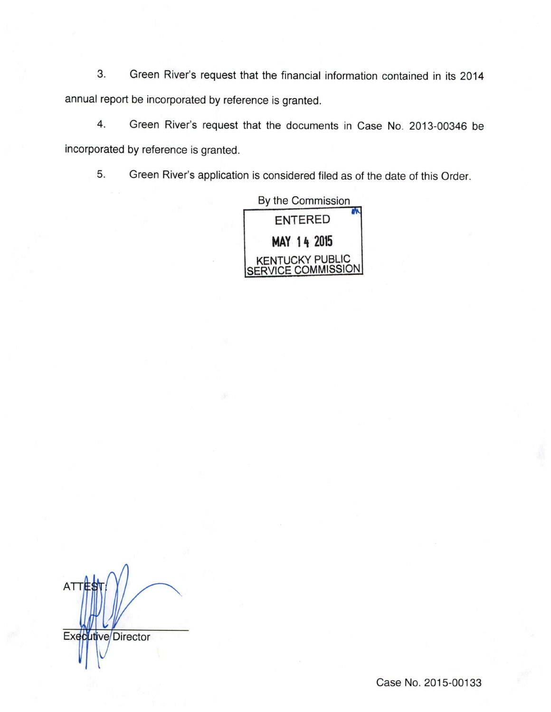3. Green River's request that the financial information contained in its 2014 annual report be incorporated by reference is granted.

4. Green River's request that the documents in Case No. 2013-00346 be incorporated by reference is granted.

5. Green River's application is considered filed as of the date of this Order.

| By the Commission                     |
|---------------------------------------|
| <b>ENTERED</b>                        |
| MAY 14 2015                           |
| KENTUCKY PUBLIC<br>SERVICE COMMISSION |

**ATTE** Executive/Director

Case No. 2015-00133